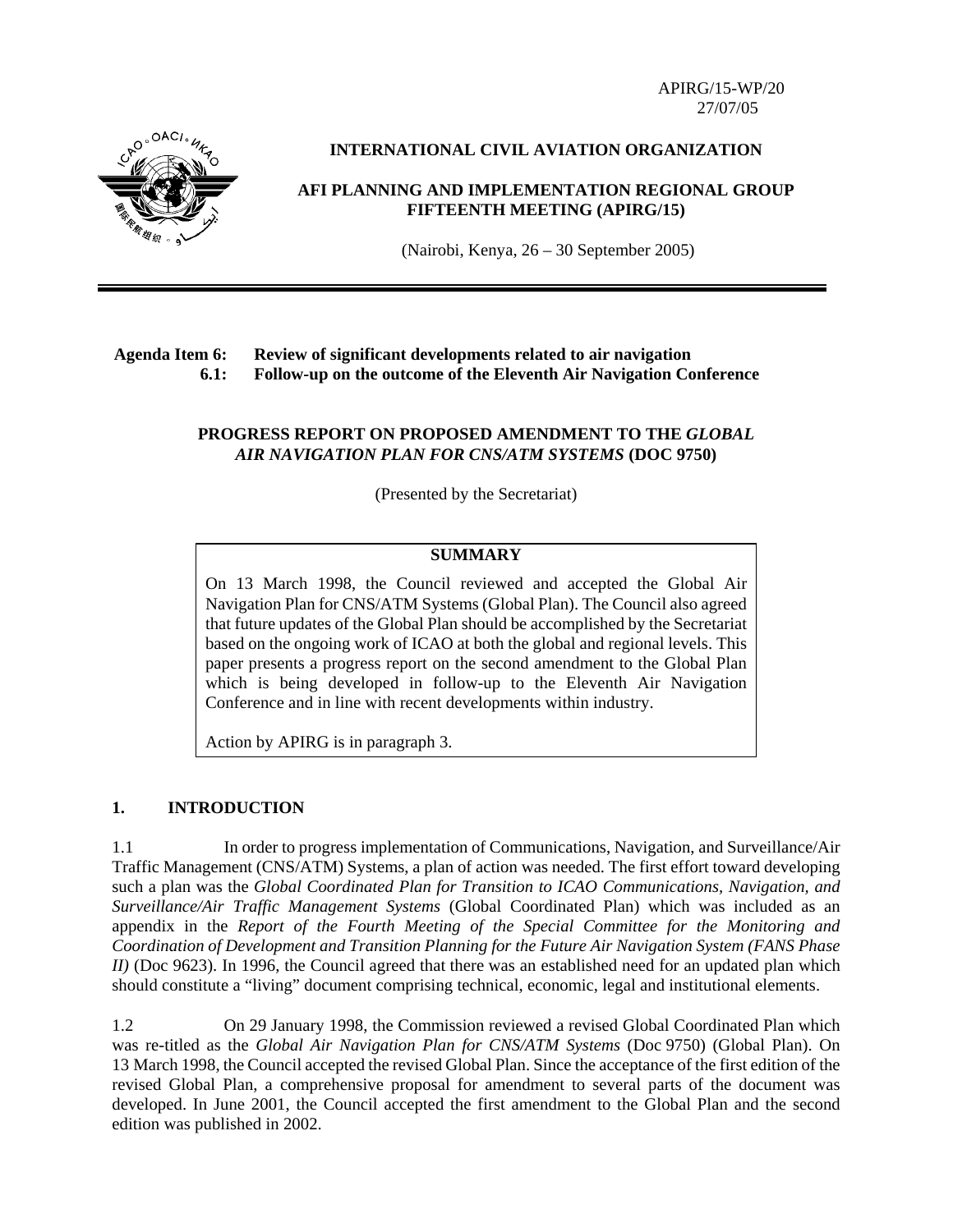APIRG/15-WP/20 27/07/05



# **INTERNATIONAL CIVIL AVIATION ORGANIZATION**

# **AFI PLANNING AND IMPLEMENTATION REGIONAL GROUP FIFTEENTH MEETING (APIRG/15)**

(Nairobi, Kenya, 26 – 30 September 2005)

# **Agenda Item 6: Review of significant developments related to air navigation 6.1: Follow-up on the outcome of the Eleventh Air Navigation Conference**

# **PROGRESS REPORT ON PROPOSED AMENDMENT TO THE** *GLOBAL AIR NAVIGATION PLAN FOR CNS/ATM SYSTEMS* **(DOC 9750)**

(Presented by the Secretariat)

# **SUMMARY**

On 13 March 1998, the Council reviewed and accepted the Global Air Navigation Plan for CNS/ATM Systems (Global Plan). The Council also agreed that future updates of the Global Plan should be accomplished by the Secretariat based on the ongoing work of ICAO at both the global and regional levels. This paper presents a progress report on the second amendment to the Global Plan which is being developed in follow-up to the Eleventh Air Navigation Conference and in line with recent developments within industry.

Action by APIRG is in paragraph 3.

# **1. INTRODUCTION**

1.1 In order to progress implementation of Communications, Navigation, and Surveillance/Air Traffic Management (CNS/ATM) Systems, a plan of action was needed. The first effort toward developing such a plan was the *Global Coordinated Plan for Transition to ICAO Communications, Navigation, and Surveillance/Air Traffic Management Systems* (Global Coordinated Plan) which was included as an appendix in the *Report of the Fourth Meeting of the Special Committee for the Monitoring and Coordination of Development and Transition Planning for the Future Air Navigation System (FANS Phase II)* (Doc 9623). In 1996, the Council agreed that there was an established need for an updated plan which should constitute a "living" document comprising technical, economic, legal and institutional elements.

1.2 On 29 January 1998, the Commission reviewed a revised Global Coordinated Plan which was re-titled as the *Global Air Navigation Plan for CNS/ATM Systems* (Doc 9750) (Global Plan). On 13 March 1998, the Council accepted the revised Global Plan. Since the acceptance of the first edition of the revised Global Plan, a comprehensive proposal for amendment to several parts of the document was developed. In June 2001, the Council accepted the first amendment to the Global Plan and the second edition was published in 2002.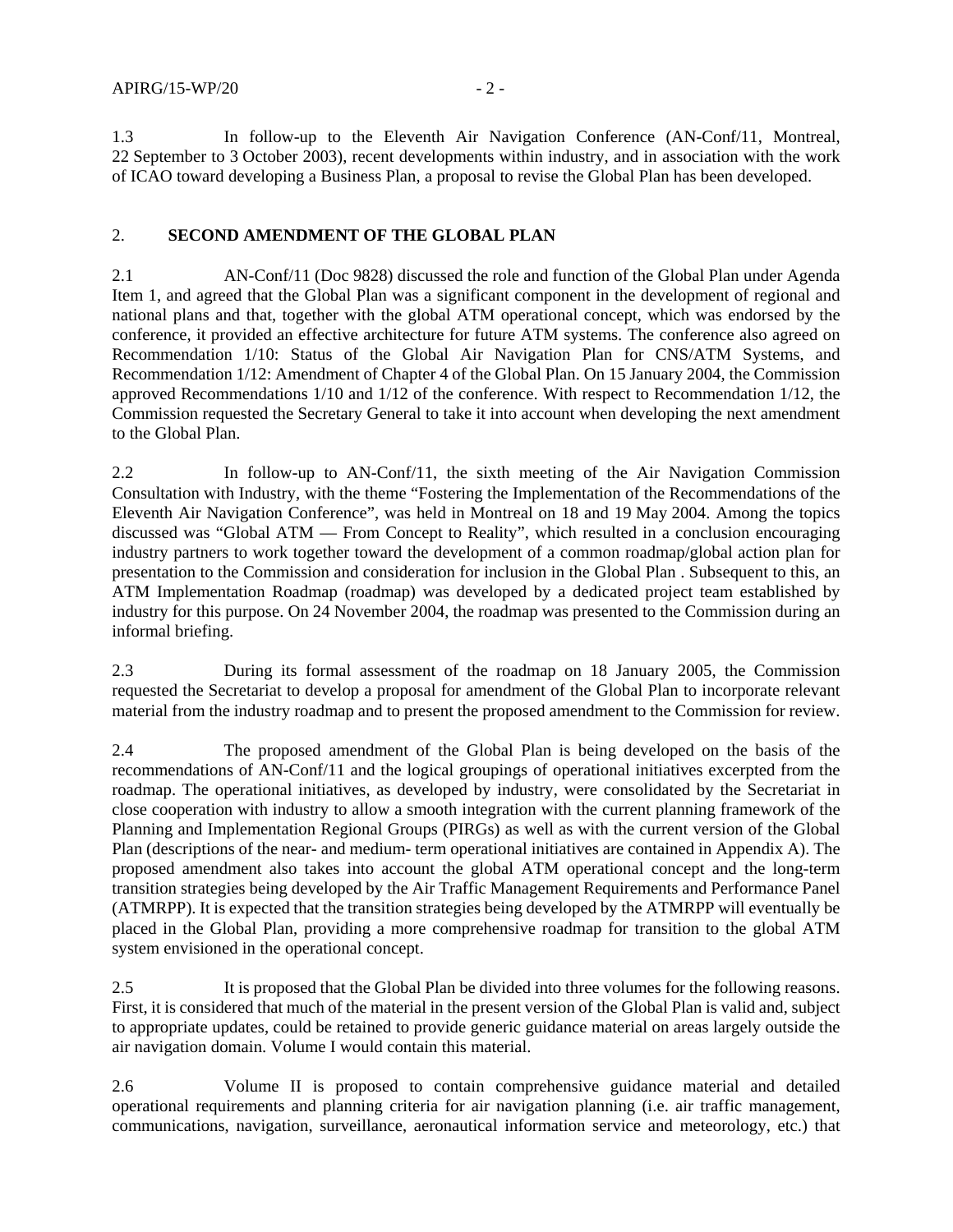1.3 In follow-up to the Eleventh Air Navigation Conference (AN-Conf/11, Montreal, 22 September to 3 October 2003), recent developments within industry, and in association with the work of ICAO toward developing a Business Plan, a proposal to revise the Global Plan has been developed.

### 2. **SECOND AMENDMENT OF THE GLOBAL PLAN**

2.1 AN-Conf/11 (Doc 9828) discussed the role and function of the Global Plan under Agenda Item 1, and agreed that the Global Plan was a significant component in the development of regional and national plans and that, together with the global ATM operational concept, which was endorsed by the conference, it provided an effective architecture for future ATM systems. The conference also agreed on Recommendation 1/10: Status of the Global Air Navigation Plan for CNS/ATM Systems, and Recommendation 1/12: Amendment of Chapter 4 of the Global Plan. On 15 January 2004, the Commission approved Recommendations 1/10 and 1/12 of the conference. With respect to Recommendation 1/12, the Commission requested the Secretary General to take it into account when developing the next amendment to the Global Plan.

2.2 In follow-up to AN-Conf/11, the sixth meeting of the Air Navigation Commission Consultation with Industry, with the theme "Fostering the Implementation of the Recommendations of the Eleventh Air Navigation Conference", was held in Montreal on 18 and 19 May 2004. Among the topics discussed was "Global ATM — From Concept to Reality", which resulted in a conclusion encouraging industry partners to work together toward the development of a common roadmap/global action plan for presentation to the Commission and consideration for inclusion in the Global Plan . Subsequent to this, an ATM Implementation Roadmap (roadmap) was developed by a dedicated project team established by industry for this purpose. On 24 November 2004, the roadmap was presented to the Commission during an informal briefing.

2.3 During its formal assessment of the roadmap on 18 January 2005, the Commission requested the Secretariat to develop a proposal for amendment of the Global Plan to incorporate relevant material from the industry roadmap and to present the proposed amendment to the Commission for review.

2.4 The proposed amendment of the Global Plan is being developed on the basis of the recommendations of AN-Conf/11 and the logical groupings of operational initiatives excerpted from the roadmap. The operational initiatives, as developed by industry, were consolidated by the Secretariat in close cooperation with industry to allow a smooth integration with the current planning framework of the Planning and Implementation Regional Groups (PIRGs) as well as with the current version of the Global Plan (descriptions of the near- and medium- term operational initiatives are contained in Appendix A). The proposed amendment also takes into account the global ATM operational concept and the long-term transition strategies being developed by the Air Traffic Management Requirements and Performance Panel (ATMRPP). It is expected that the transition strategies being developed by the ATMRPP will eventually be placed in the Global Plan, providing a more comprehensive roadmap for transition to the global ATM system envisioned in the operational concept.

2.5 It is proposed that the Global Plan be divided into three volumes for the following reasons. First, it is considered that much of the material in the present version of the Global Plan is valid and, subject to appropriate updates, could be retained to provide generic guidance material on areas largely outside the air navigation domain. Volume I would contain this material.

2.6 Volume II is proposed to contain comprehensive guidance material and detailed operational requirements and planning criteria for air navigation planning (i.e. air traffic management, communications, navigation, surveillance, aeronautical information service and meteorology, etc.) that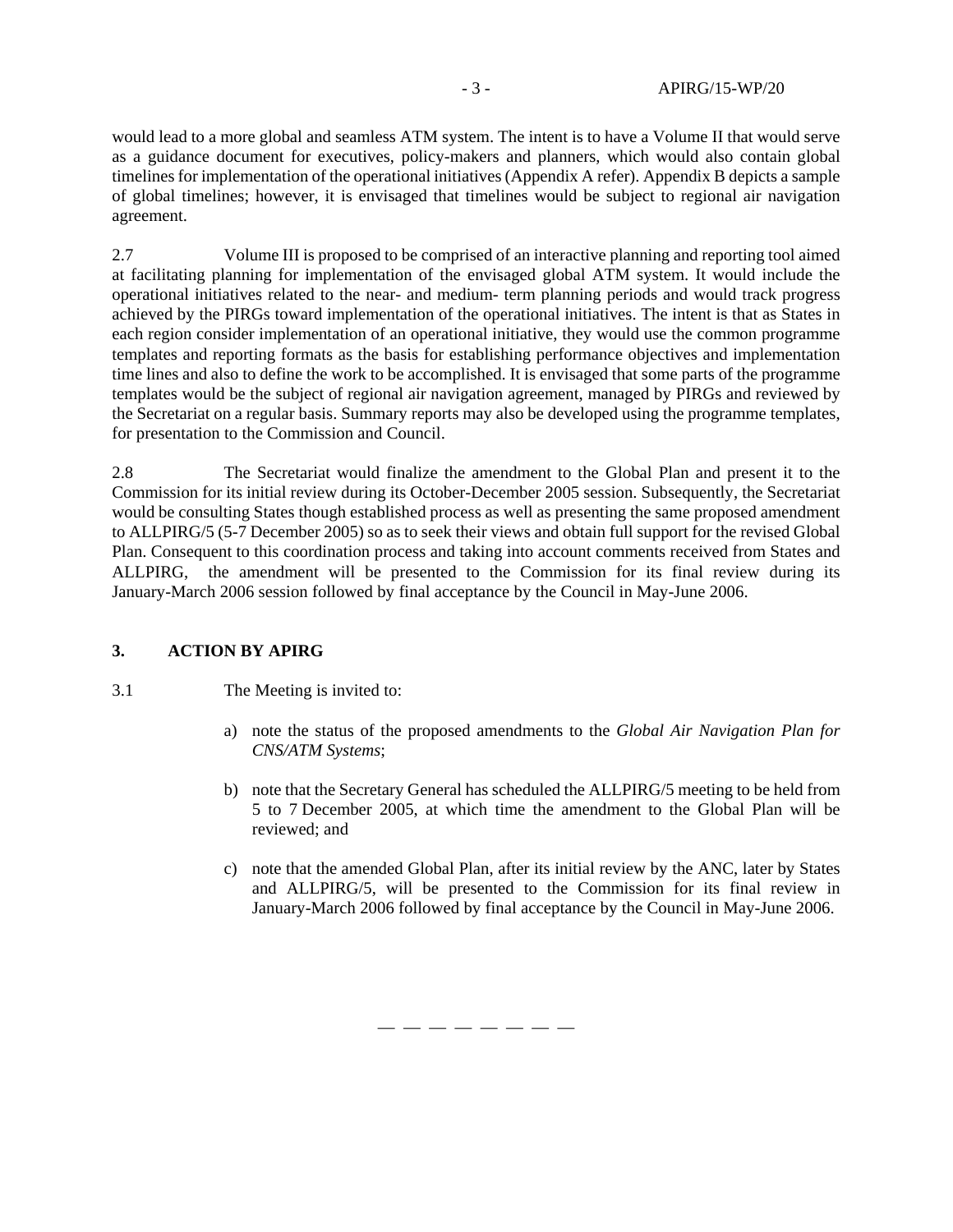would lead to a more global and seamless ATM system. The intent is to have a Volume II that would serve as a guidance document for executives, policy-makers and planners, which would also contain global timelines for implementation of the operational initiatives (Appendix A refer). Appendix B depicts a sample of global timelines; however, it is envisaged that timelines would be subject to regional air navigation agreement.

2.7 Volume III is proposed to be comprised of an interactive planning and reporting tool aimed at facilitating planning for implementation of the envisaged global ATM system. It would include the operational initiatives related to the near- and medium- term planning periods and would track progress achieved by the PIRGs toward implementation of the operational initiatives. The intent is that as States in each region consider implementation of an operational initiative, they would use the common programme templates and reporting formats as the basis for establishing performance objectives and implementation time lines and also to define the work to be accomplished. It is envisaged that some parts of the programme templates would be the subject of regional air navigation agreement, managed by PIRGs and reviewed by the Secretariat on a regular basis. Summary reports may also be developed using the programme templates, for presentation to the Commission and Council.

2.8 The Secretariat would finalize the amendment to the Global Plan and present it to the Commission for its initial review during its October-December 2005 session. Subsequently, the Secretariat would be consulting States though established process as well as presenting the same proposed amendment to ALLPIRG/5 (5-7 December 2005) so as to seek their views and obtain full support for the revised Global Plan. Consequent to this coordination process and taking into account comments received from States and ALLPIRG, the amendment will be presented to the Commission for its final review during its January-March 2006 session followed by final acceptance by the Council in May-June 2006.

# **3. ACTION BY APIRG**

#### 3.1 The Meeting is invited to:

- a) note the status of the proposed amendments to the *Global Air Navigation Plan for CNS/ATM Systems*;
- b) note that the Secretary General has scheduled the ALLPIRG/5 meeting to be held from 5 to 7 December 2005, at which time the amendment to the Global Plan will be reviewed; and
- c) note that the amended Global Plan, after its initial review by the ANC, later by States and ALLPIRG/5, will be presented to the Commission for its final review in January-March 2006 followed by final acceptance by the Council in May-June 2006.

— — — — — — — —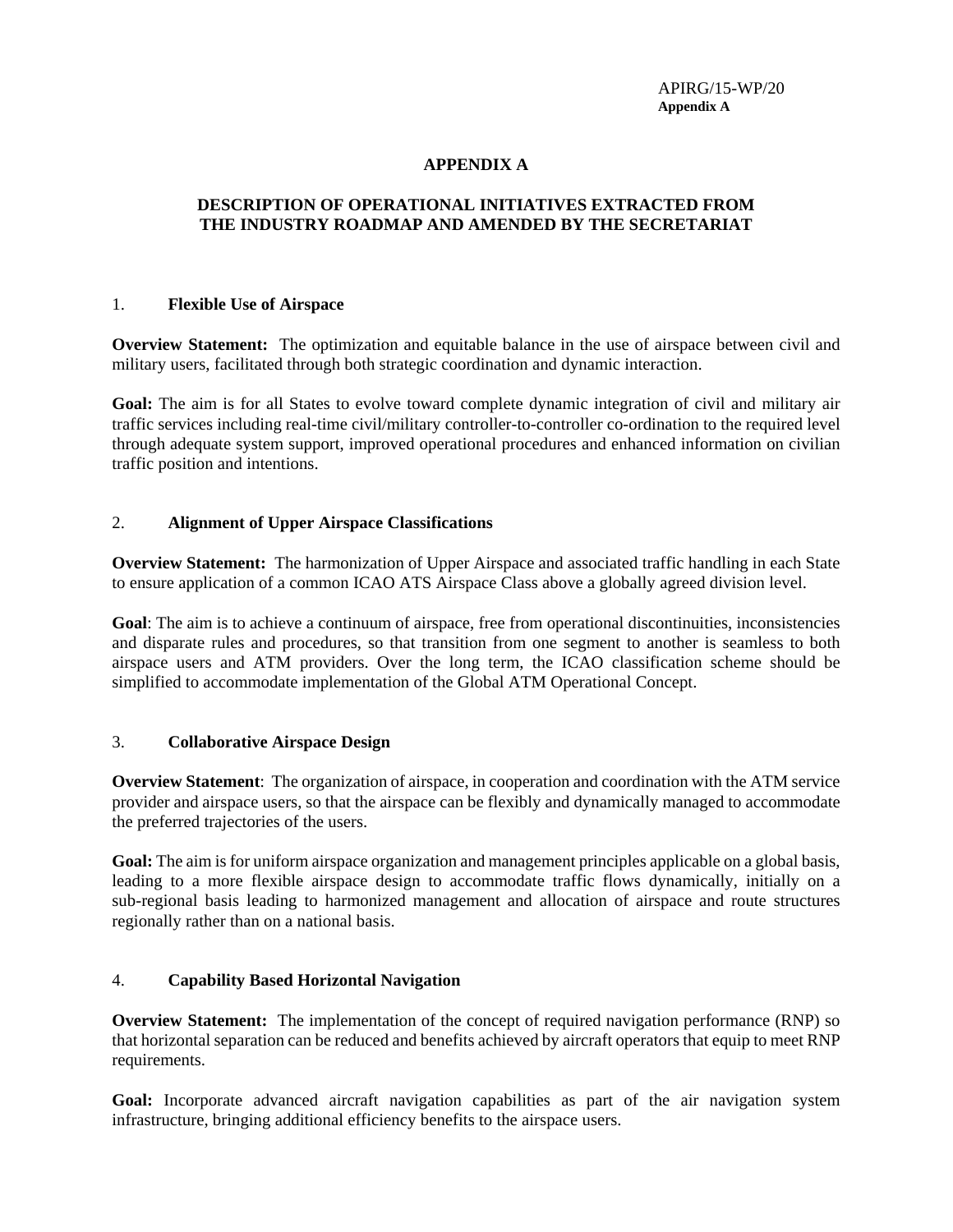APIRG/15-WP/20 **Appendix A**

### **APPENDIX A**

### **DESCRIPTION OF OPERATIONAL INITIATIVES EXTRACTED FROM THE INDUSTRY ROADMAP AND AMENDED BY THE SECRETARIAT**

#### 1. **Flexible Use of Airspace**

**Overview Statement:** The optimization and equitable balance in the use of airspace between civil and military users, facilitated through both strategic coordination and dynamic interaction.

**Goal:** The aim is for all States to evolve toward complete dynamic integration of civil and military air traffic services including real-time civil/military controller-to-controller co-ordination to the required level through adequate system support, improved operational procedures and enhanced information on civilian traffic position and intentions.

#### 2. **Alignment of Upper Airspace Classifications**

**Overview Statement:** The harmonization of Upper Airspace and associated traffic handling in each State to ensure application of a common ICAO ATS Airspace Class above a globally agreed division level.

**Goal**: The aim is to achieve a continuum of airspace, free from operational discontinuities, inconsistencies and disparate rules and procedures, so that transition from one segment to another is seamless to both airspace users and ATM providers. Over the long term, the ICAO classification scheme should be simplified to accommodate implementation of the Global ATM Operational Concept.

#### 3. **Collaborative Airspace Design**

**Overview Statement**: The organization of airspace, in cooperation and coordination with the ATM service provider and airspace users, so that the airspace can be flexibly and dynamically managed to accommodate the preferred trajectories of the users.

**Goal:** The aim is for uniform airspace organization and management principles applicable on a global basis, leading to a more flexible airspace design to accommodate traffic flows dynamically, initially on a sub-regional basis leading to harmonized management and allocation of airspace and route structures regionally rather than on a national basis.

# 4. **Capability Based Horizontal Navigation**

**Overview Statement:** The implementation of the concept of required navigation performance (RNP) so that horizontal separation can be reduced and benefits achieved by aircraft operators that equip to meet RNP requirements.

**Goal:** Incorporate advanced aircraft navigation capabilities as part of the air navigation system infrastructure, bringing additional efficiency benefits to the airspace users.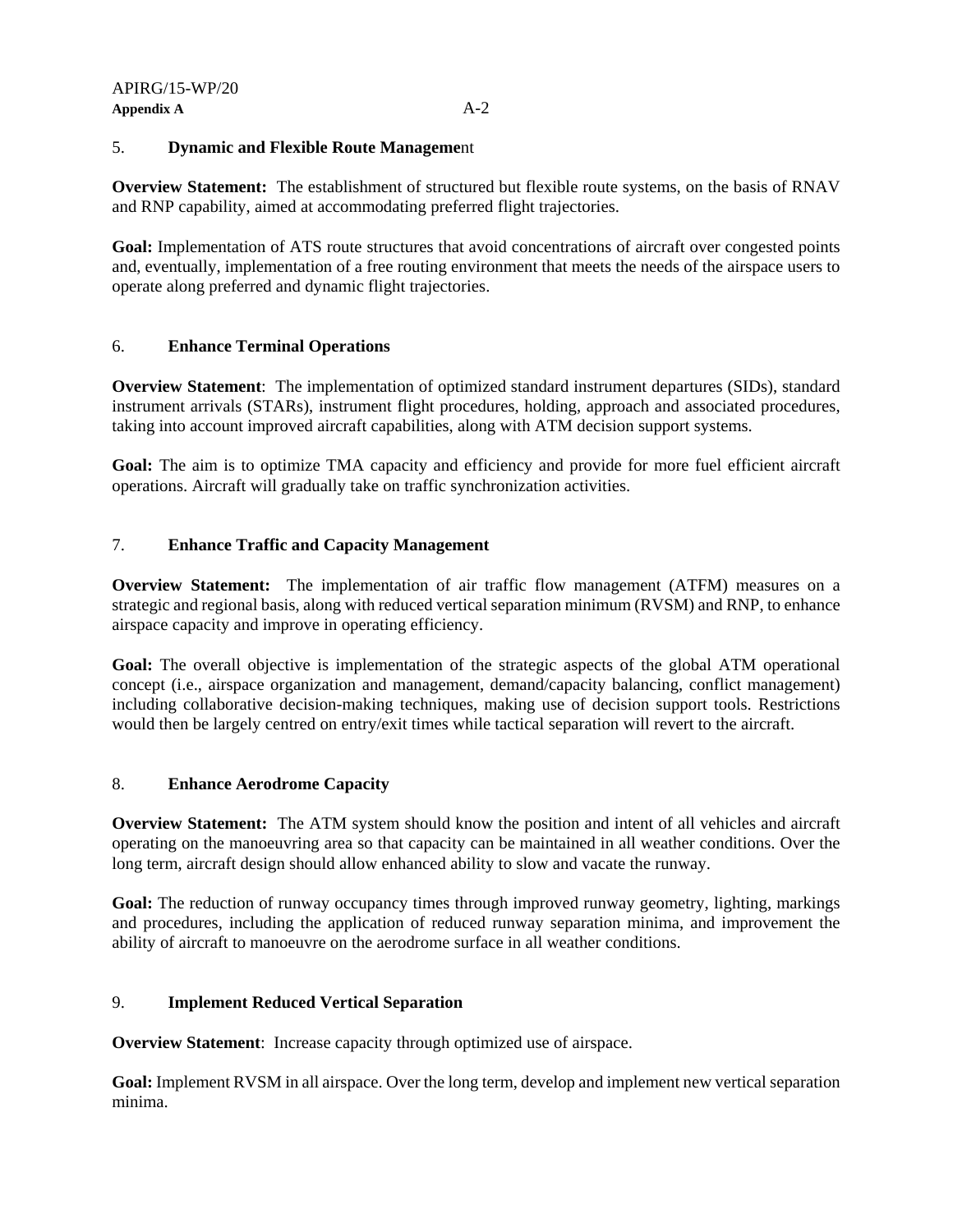### 5. **Dynamic and Flexible Route Manageme**nt

**Overview Statement:** The establishment of structured but flexible route systems, on the basis of RNAV and RNP capability, aimed at accommodating preferred flight trajectories.

**Goal:** Implementation of ATS route structures that avoid concentrations of aircraft over congested points and, eventually, implementation of a free routing environment that meets the needs of the airspace users to operate along preferred and dynamic flight trajectories.

# 6. **Enhance Terminal Operations**

**Overview Statement**: The implementation of optimized standard instrument departures (SIDs), standard instrument arrivals (STARs), instrument flight procedures, holding, approach and associated procedures, taking into account improved aircraft capabilities, along with ATM decision support systems.

Goal: The aim is to optimize TMA capacity and efficiency and provide for more fuel efficient aircraft operations. Aircraft will gradually take on traffic synchronization activities.

# 7. **Enhance Traffic and Capacity Management**

**Overview Statement:** The implementation of air traffic flow management (ATFM) measures on a strategic and regional basis, along with reduced vertical separation minimum (RVSM) and RNP, to enhance airspace capacity and improve in operating efficiency.

**Goal:** The overall objective is implementation of the strategic aspects of the global ATM operational concept (i.e., airspace organization and management, demand/capacity balancing, conflict management) including collaborative decision-making techniques, making use of decision support tools. Restrictions would then be largely centred on entry/exit times while tactical separation will revert to the aircraft.

# 8. **Enhance Aerodrome Capacity**

**Overview Statement:** The ATM system should know the position and intent of all vehicles and aircraft operating on the manoeuvring area so that capacity can be maintained in all weather conditions. Over the long term, aircraft design should allow enhanced ability to slow and vacate the runway.

**Goal:** The reduction of runway occupancy times through improved runway geometry, lighting, markings and procedures, including the application of reduced runway separation minima, and improvement the ability of aircraft to manoeuvre on the aerodrome surface in all weather conditions.

# 9. **Implement Reduced Vertical Separation**

**Overview Statement**: Increase capacity through optimized use of airspace.

**Goal:** Implement RVSM in all airspace. Over the long term, develop and implement new vertical separation minima.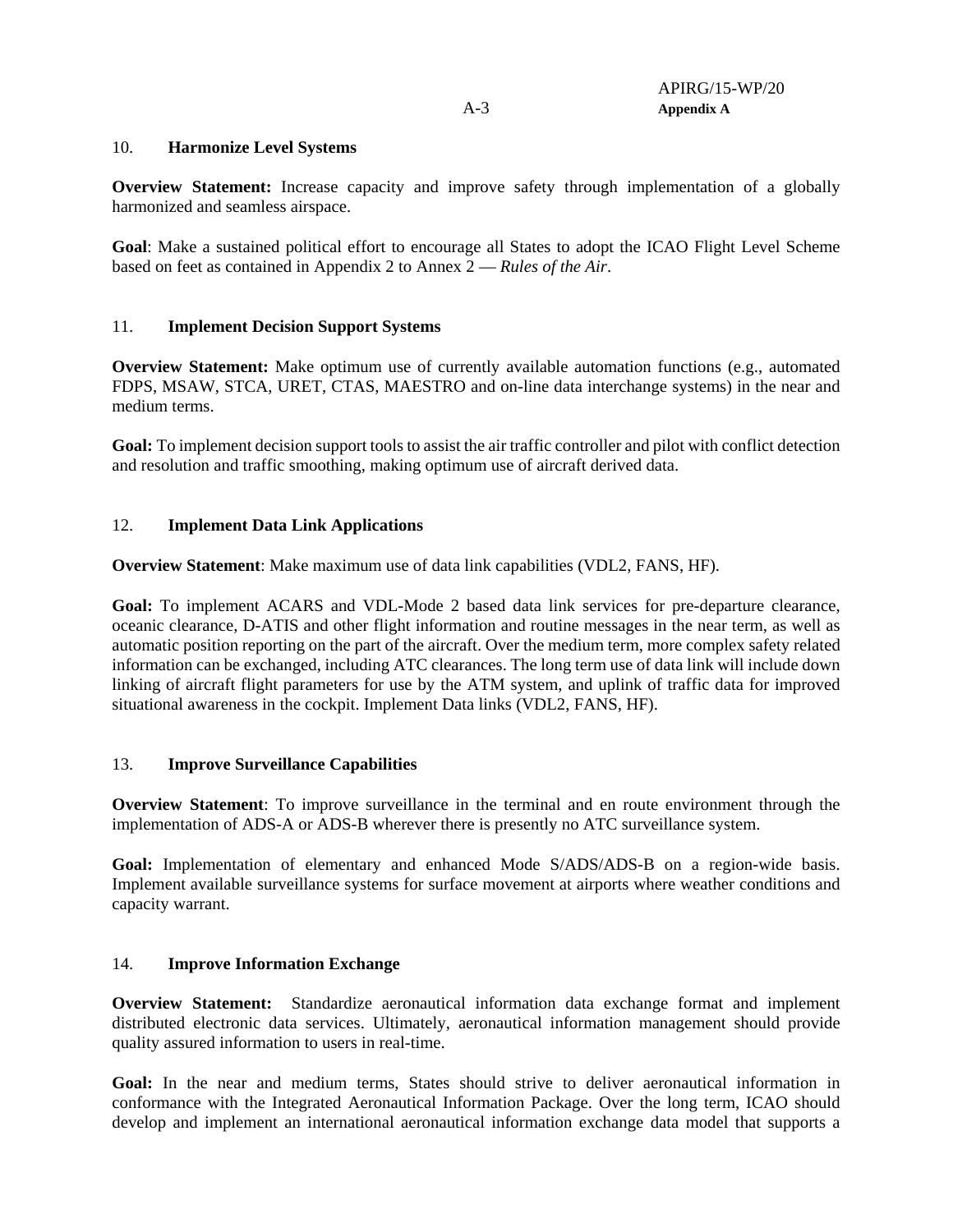#### 10. **Harmonize Level Systems**

**Overview Statement:** Increase capacity and improve safety through implementation of a globally harmonized and seamless airspace.

**Goal**: Make a sustained political effort to encourage all States to adopt the ICAO Flight Level Scheme based on feet as contained in Appendix 2 to Annex 2 — *Rules of the Air*.

### 11. **Implement Decision Support Systems**

**Overview Statement:** Make optimum use of currently available automation functions (e.g., automated FDPS, MSAW, STCA, URET, CTAS, MAESTRO and on-line data interchange systems) in the near and medium terms.

**Goal:** To implement decision support tools to assist the air traffic controller and pilot with conflict detection and resolution and traffic smoothing, making optimum use of aircraft derived data.

# 12. **Implement Data Link Applications**

**Overview Statement**: Make maximum use of data link capabilities (VDL2, FANS, HF).

**Goal:** To implement ACARS and VDL-Mode 2 based data link services for pre-departure clearance, oceanic clearance, D-ATIS and other flight information and routine messages in the near term, as well as automatic position reporting on the part of the aircraft. Over the medium term, more complex safety related information can be exchanged, including ATC clearances. The long term use of data link will include down linking of aircraft flight parameters for use by the ATM system, and uplink of traffic data for improved situational awareness in the cockpit. Implement Data links (VDL2, FANS, HF).

#### 13. **Improve Surveillance Capabilities**

**Overview Statement**: To improve surveillance in the terminal and en route environment through the implementation of ADS-A or ADS-B wherever there is presently no ATC surveillance system.

**Goal:** Implementation of elementary and enhanced Mode S/ADS/ADS-B on a region-wide basis. Implement available surveillance systems for surface movement at airports where weather conditions and capacity warrant.

#### 14. **Improve Information Exchange**

**Overview Statement:** Standardize aeronautical information data exchange format and implement distributed electronic data services. Ultimately, aeronautical information management should provide quality assured information to users in real-time.

**Goal:** In the near and medium terms, States should strive to deliver aeronautical information in conformance with the Integrated Aeronautical Information Package. Over the long term, ICAO should develop and implement an international aeronautical information exchange data model that supports a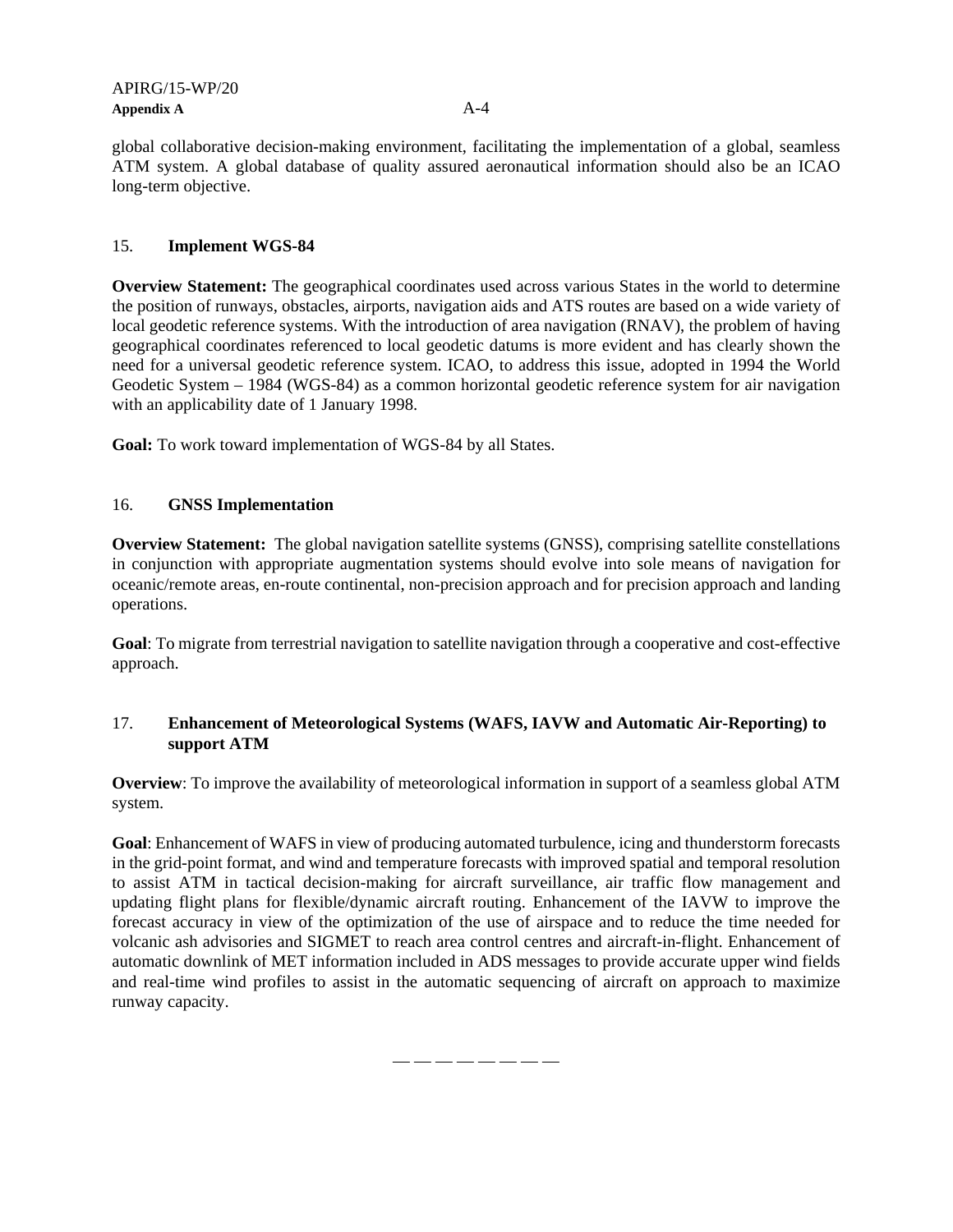global collaborative decision-making environment, facilitating the implementation of a global, seamless ATM system. A global database of quality assured aeronautical information should also be an ICAO long-term objective.

### 15. **Implement WGS-84**

**Overview Statement:** The geographical coordinates used across various States in the world to determine the position of runways, obstacles, airports, navigation aids and ATS routes are based on a wide variety of local geodetic reference systems. With the introduction of area navigation (RNAV), the problem of having geographical coordinates referenced to local geodetic datums is more evident and has clearly shown the need for a universal geodetic reference system. ICAO, to address this issue, adopted in 1994 the World Geodetic System – 1984 (WGS-84) as a common horizontal geodetic reference system for air navigation with an applicability date of 1 January 1998.

**Goal:** To work toward implementation of WGS-84 by all States.

### 16. **GNSS Implementation**

**Overview Statement:** The global navigation satellite systems (GNSS), comprising satellite constellations in conjunction with appropriate augmentation systems should evolve into sole means of navigation for oceanic/remote areas, en-route continental, non-precision approach and for precision approach and landing operations.

**Goal**: To migrate from terrestrial navigation to satellite navigation through a cooperative and cost-effective approach.

# 17. **Enhancement of Meteorological Systems (WAFS, IAVW and Automatic Air-Reporting) to support ATM**

**Overview**: To improve the availability of meteorological information in support of a seamless global ATM system.

**Goal**: Enhancement of WAFS in view of producing automated turbulence, icing and thunderstorm forecasts in the grid-point format, and wind and temperature forecasts with improved spatial and temporal resolution to assist ATM in tactical decision-making for aircraft surveillance, air traffic flow management and updating flight plans for flexible/dynamic aircraft routing. Enhancement of the IAVW to improve the forecast accuracy in view of the optimization of the use of airspace and to reduce the time needed for volcanic ash advisories and SIGMET to reach area control centres and aircraft-in-flight. Enhancement of automatic downlink of MET information included in ADS messages to provide accurate upper wind fields and real-time wind profiles to assist in the automatic sequencing of aircraft on approach to maximize runway capacity.

 $\longrightarrow$   $\longrightarrow$   $\longrightarrow$   $\longrightarrow$   $\longrightarrow$   $\longrightarrow$   $\longrightarrow$